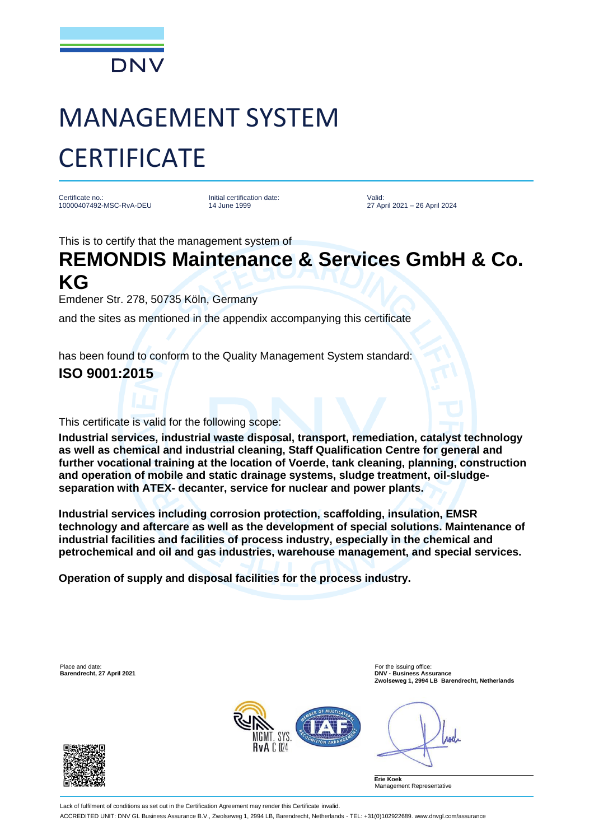

# MANAGEMENT SYSTEM **CERTIFICATE**

Certificate no.: 10000407492-MSC-RvA-DEU Initial certification date: 14 June 1999

Valid: 27 April 2021 – 26 April 2024

This is to certify that the management system of

## **REMONDIS Maintenance & Services GmbH & Co. KG**

Emdener Str. 278, 50735 Köln, Germany

and the sites as mentioned in the appendix accompanying this certificate

has been found to conform to the Quality Management System standard:

### **ISO 9001:2015**

This certificate is valid for the following scope:

**Industrial services, industrial waste disposal, transport, remediation, catalyst technology as well as chemical and industrial cleaning, Staff Qualification Centre for general and further vocational training at the location of Voerde, tank cleaning, planning, construction and operation of mobile and static drainage systems, sludge treatment, oil-sludgeseparation with ATEX- decanter, service for nuclear and power plants.**

**Industrial services including corrosion protection, scaffolding, insulation, EMSR technology and aftercare as well as the development of special solutions. Maintenance of industrial facilities and facilities of process industry, especially in the chemical and petrochemical and oil and gas industries, warehouse management, and special services.** 

**Operation of supply and disposal facilities for the process industry.**

Place and date:<br> **Place and date:** For the issuing office:<br> **Barendrecht, 27 April 2021** 



**Barendrecht, 27 April 2021 DNV - Business Assurance Zwolseweg 1, 2994 LB Barendrecht, Netherlands**

**Anel** 

**Erie Koek** Management Representative

Lack of fulfilment of conditions as set out in the Certification Agreement may render this Certificate invalid. ACCREDITED UNIT: DNV GL Business Assurance B.V., Zwolseweg 1, 2994 LB, Barendrecht, Netherlands - TEL: +31(0)102922689. www.dnvgl.com/assurance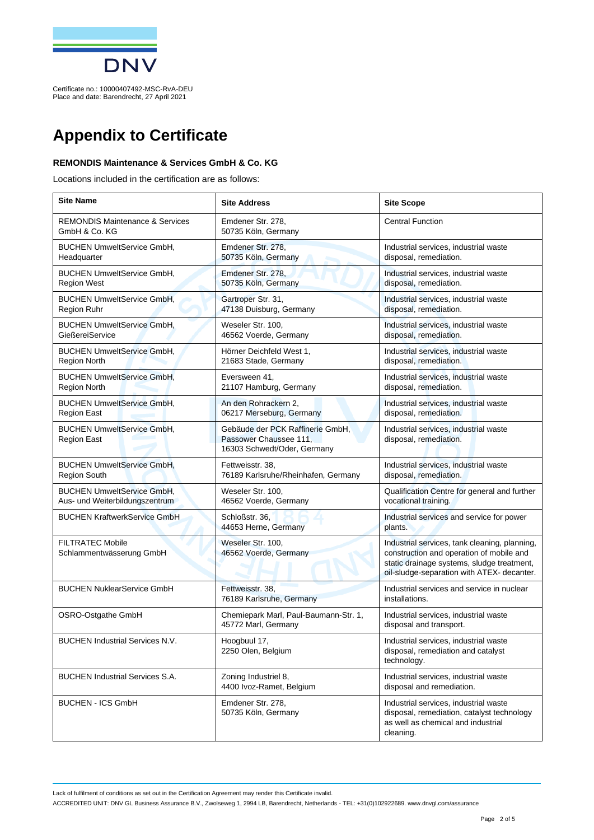

### **Appendix to Certificate**

#### **REMONDIS Maintenance & Services GmbH & Co. KG**

Locations included in the certification are as follows:

| <b>Site Name</b>                                                    | <b>Site Address</b>                                                                       | <b>Site Scope</b>                                                                                                                                                                     |
|---------------------------------------------------------------------|-------------------------------------------------------------------------------------------|---------------------------------------------------------------------------------------------------------------------------------------------------------------------------------------|
| <b>REMONDIS Maintenance &amp; Services</b><br>GmbH & Co. KG         | Emdener Str. 278,<br>50735 Köln, Germany                                                  | <b>Central Function</b>                                                                                                                                                               |
| <b>BUCHEN UmweltService GmbH,</b><br>Headquarter                    | Emdener Str. 278,<br>50735 Köln, Germany                                                  | Industrial services, industrial waste<br>disposal, remediation.                                                                                                                       |
| <b>BUCHEN UmweltService GmbH,</b><br><b>Region West</b>             | Emdener Str. 278,<br>50735 Köln, Germany                                                  | Industrial services, industrial waste<br>disposal, remediation.                                                                                                                       |
| <b>BUCHEN UmweltService GmbH,</b><br>Region Ruhr                    | Gartroper Str. 31,<br>47138 Duisburg, Germany                                             | Industrial services, industrial waste<br>disposal, remediation.                                                                                                                       |
| <b>BUCHEN UmweltService GmbH,</b><br>GießereiService                | Weseler Str. 100,<br>46562 Voerde, Germany                                                | Industrial services, industrial waste<br>disposal, remediation.                                                                                                                       |
| <b>BUCHEN UmweltService GmbH.</b><br><b>Region North</b>            | Hörner Deichfeld West 1,<br>21683 Stade, Germany                                          | Industrial services, industrial waste<br>disposal, remediation.                                                                                                                       |
| <b>BUCHEN UmweltService GmbH,</b><br><b>Region North</b>            | Eversween 41,<br>21107 Hamburg, Germany                                                   | Industrial services, industrial waste<br>disposal, remediation.                                                                                                                       |
| <b>BUCHEN UmweltService GmbH,</b><br>Region East                    | An den Rohrackern 2,<br>06217 Merseburg, Germany                                          | Industrial services, industrial waste<br>disposal, remediation.                                                                                                                       |
| <b>BUCHEN UmweltService GmbH.</b><br><b>Region East</b>             | Gebäude der PCK Raffinerie GmbH.<br>Passower Chaussee 111.<br>16303 Schwedt/Oder, Germany | Industrial services, industrial waste<br>disposal, remediation.                                                                                                                       |
| <b>BUCHEN UmweltService GmbH,</b><br><b>Region South</b>            | Fettweisstr. 38.<br>76189 Karlsruhe/Rheinhafen, Germany                                   | Industrial services, industrial waste<br>disposal, remediation.                                                                                                                       |
| <b>BUCHEN UmweltService GmbH,</b><br>Aus- und Weiterbildungszentrum | Weseler Str. 100,<br>46562 Voerde, Germany                                                | Qualification Centre for general and further<br>vocational training.                                                                                                                  |
| <b>BUCHEN KraftwerkService GmbH</b>                                 | Schloßstr. 36,<br>44653 Herne, Germany                                                    | Industrial services and service for power<br>plants.                                                                                                                                  |
| <b>FILTRATEC Mobile</b><br>Schlammentwässerung GmbH                 | Weseler Str. 100,<br>46562 Voerde, Germany                                                | Industrial services, tank cleaning, planning,<br>construction and operation of mobile and<br>static drainage systems, sludge treatment,<br>oil-sludge-separation with ATEX- decanter. |
| <b>BUCHEN NuklearService GmbH</b>                                   | Fettweisstr. 38,<br>76189 Karlsruhe, Germany                                              | Industrial services and service in nuclear<br>installations.                                                                                                                          |
| OSRO-Ostgathe GmbH                                                  | Chemiepark Marl, Paul-Baumann-Str. 1,<br>45772 Marl, Germany                              | Industrial services, industrial waste<br>disposal and transport.                                                                                                                      |
| <b>BUCHEN Industrial Services N.V.</b>                              | Hoogbuul 17,<br>2250 Olen, Belgium                                                        | Industrial services, industrial waste<br>disposal, remediation and catalyst<br>technology.                                                                                            |
| <b>BUCHEN Industrial Services S.A.</b>                              | Zoning Industriel 8,<br>4400 Ivoz-Ramet, Belgium                                          | Industrial services, industrial waste<br>disposal and remediation.                                                                                                                    |
| <b>BUCHEN - ICS GmbH</b>                                            | Emdener Str. 278,<br>50735 Köln, Germany                                                  | Industrial services, industrial waste<br>disposal, remediation, catalyst technology<br>as well as chemical and industrial<br>cleaning.                                                |

Lack of fulfilment of conditions as set out in the Certification Agreement may render this Certificate invalid.

ACCREDITED UNIT: DNV GL Business Assurance B.V., Zwolseweg 1, 2994 LB, Barendrecht, Netherlands - TEL: +31(0)102922689. www.dnvgl.com/assurance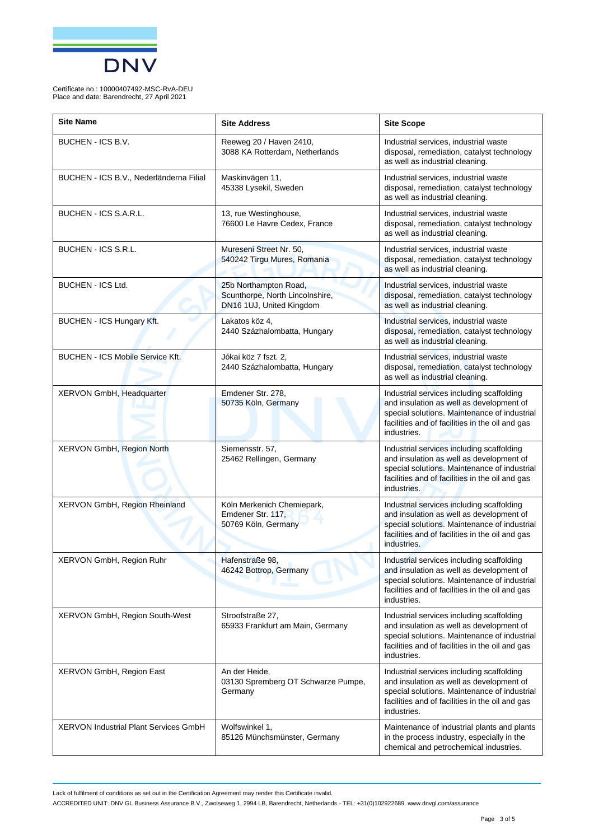

| <b>Site Name</b>                             | <b>Site Address</b>                                                                  | <b>Site Scope</b>                                                                                                                                                                                       |
|----------------------------------------------|--------------------------------------------------------------------------------------|---------------------------------------------------------------------------------------------------------------------------------------------------------------------------------------------------------|
| BUCHEN - ICS B.V.                            | Reeweg 20 / Haven 2410,<br>3088 KA Rotterdam, Netherlands                            | Industrial services, industrial waste<br>disposal, remediation, catalyst technology<br>as well as industrial cleaning.                                                                                  |
| BUCHEN - ICS B.V., Nederländerna Filial      | Maskinvägen 11,<br>45338 Lysekil, Sweden                                             | Industrial services, industrial waste<br>disposal, remediation, catalyst technology<br>as well as industrial cleaning.                                                                                  |
| BUCHEN - ICS S.A.R.L.                        | 13, rue Westinghouse,<br>76600 Le Havre Cedex, France                                | Industrial services, industrial waste<br>disposal, remediation, catalyst technology<br>as well as industrial cleaning.                                                                                  |
| <b>BUCHEN - ICS S.R.L.</b>                   | Mureseni Street Nr. 50,<br>540242 Tirgu Mures, Romania                               | Industrial services, industrial waste<br>disposal, remediation, catalyst technology<br>as well as industrial cleaning.                                                                                  |
| <b>BUCHEN - ICS Ltd.</b>                     | 25b Northampton Road,<br>Scunthorpe, North Lincolnshire,<br>DN16 1UJ, United Kingdom | Industrial services, industrial waste<br>disposal, remediation, catalyst technology<br>as well as industrial cleaning.                                                                                  |
| BUCHEN - ICS Hungary Kft.                    | Lakatos köz 4,<br>2440 Százhalombatta, Hungary                                       | Industrial services, industrial waste<br>disposal, remediation, catalyst technology<br>as well as industrial cleaning.                                                                                  |
| <b>BUCHEN - ICS Mobile Service Kft.</b>      | Jókai köz 7 fszt. 2,<br>2440 Százhalombatta, Hungary                                 | Industrial services, industrial waste<br>disposal, remediation, catalyst technology<br>as well as industrial cleaning.                                                                                  |
| XERVON GmbH, Headquarter                     | Emdener Str. 278,<br>50735 Köln, Germany                                             | Industrial services including scaffolding<br>and insulation as well as development of<br>special solutions. Maintenance of industrial<br>facilities and of facilities in the oil and gas<br>industries. |
| XERVON GmbH, Region North                    | Siemensstr. 57,<br>25462 Rellingen, Germany                                          | Industrial services including scaffolding<br>and insulation as well as development of<br>special solutions. Maintenance of industrial<br>facilities and of facilities in the oil and gas<br>industries. |
| XERVON GmbH, Region Rheinland                | Köln Merkenich Chemiepark,<br>Emdener Str. 117,<br>50769 Köln, Germany               | Industrial services including scaffolding<br>and insulation as well as development of<br>special solutions. Maintenance of industrial<br>facilities and of facilities in the oil and gas<br>industries. |
| XERVON GmbH, Region Ruhr                     | Hafenstraße 98,<br>46242 Bottrop, Germany                                            | Industrial services including scaffolding<br>and insulation as well as development of<br>special solutions. Maintenance of industrial<br>facilities and of facilities in the oil and gas<br>industries. |
| XERVON GmbH, Region South-West               | Stroofstraße 27,<br>65933 Frankfurt am Main, Germany                                 | Industrial services including scaffolding<br>and insulation as well as development of<br>special solutions. Maintenance of industrial<br>facilities and of facilities in the oil and gas<br>industries. |
| XERVON GmbH, Region East                     | An der Heide,<br>03130 Spremberg OT Schwarze Pumpe,<br>Germany                       | Industrial services including scaffolding<br>and insulation as well as development of<br>special solutions. Maintenance of industrial<br>facilities and of facilities in the oil and gas<br>industries. |
| <b>XERVON Industrial Plant Services GmbH</b> | Wolfswinkel 1,<br>85126 Münchsmünster, Germany                                       | Maintenance of industrial plants and plants<br>in the process industry, especially in the<br>chemical and petrochemical industries.                                                                     |

Lack of fulfilment of conditions as set out in the Certification Agreement may render this Certificate invalid.

ACCREDITED UNIT: DNV GL Business Assurance B.V., Zwolseweg 1, 2994 LB, Barendrecht, Netherlands - TEL: +31(0)102922689. www.dnvgl.com/assurance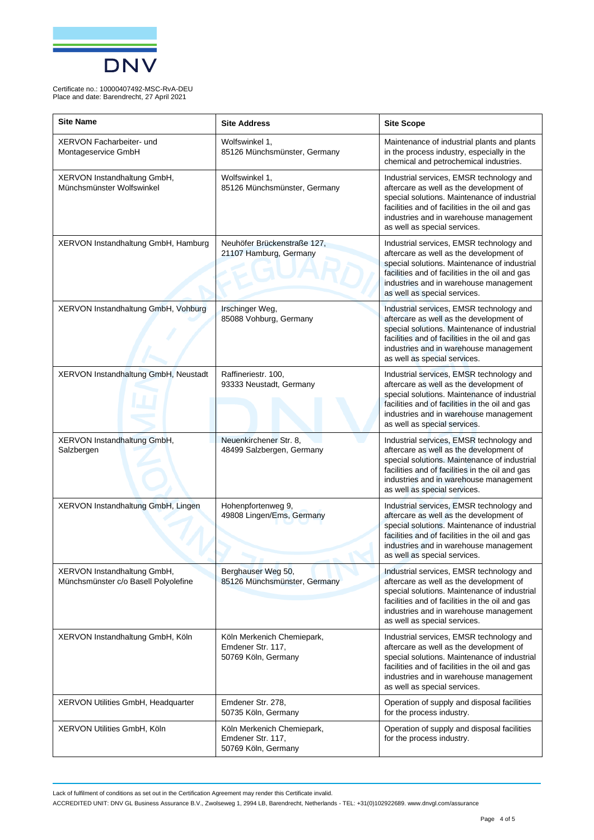

| <b>Site Name</b>                                                    | <b>Site Address</b>                                                    | <b>Site Scope</b>                                                                                                                                                                                                                                                |
|---------------------------------------------------------------------|------------------------------------------------------------------------|------------------------------------------------------------------------------------------------------------------------------------------------------------------------------------------------------------------------------------------------------------------|
| XERVON Facharbeiter- und<br>Montageservice GmbH                     | Wolfswinkel 1,<br>85126 Münchsmünster, Germany                         | Maintenance of industrial plants and plants<br>in the process industry, especially in the<br>chemical and petrochemical industries.                                                                                                                              |
| XERVON Instandhaltung GmbH,<br>Münchsmünster Wolfswinkel            | Wolfswinkel 1,<br>85126 Münchsmünster, Germany                         | Industrial services, EMSR technology and<br>aftercare as well as the development of<br>special solutions. Maintenance of industrial<br>facilities and of facilities in the oil and gas<br>industries and in warehouse management<br>as well as special services. |
| XERVON Instandhaltung GmbH, Hamburg                                 | Neuhöfer Brückenstraße 127,<br>21107 Hamburg, Germany                  | Industrial services, EMSR technology and<br>aftercare as well as the development of<br>special solutions. Maintenance of industrial<br>facilities and of facilities in the oil and gas<br>industries and in warehouse management<br>as well as special services. |
| XERVON Instandhaltung GmbH, Vohburg                                 | Irschinger Weg,<br>85088 Vohburg, Germany                              | Industrial services, EMSR technology and<br>aftercare as well as the development of<br>special solutions. Maintenance of industrial<br>facilities and of facilities in the oil and gas<br>industries and in warehouse management<br>as well as special services. |
| XERVON Instandhaltung GmbH, Neustadt                                | Raffineriestr. 100,<br>93333 Neustadt, Germany                         | Industrial services, EMSR technology and<br>aftercare as well as the development of<br>special solutions. Maintenance of industrial<br>facilities and of facilities in the oil and gas<br>industries and in warehouse management<br>as well as special services. |
| XERVON Instandhaltung GmbH,<br>Salzbergen                           | Neuenkirchener Str. 8,<br>48499 Salzbergen, Germany                    | Industrial services, EMSR technology and<br>aftercare as well as the development of<br>special solutions. Maintenance of industrial<br>facilities and of facilities in the oil and gas<br>industries and in warehouse management<br>as well as special services. |
| XERVON Instandhaltung GmbH, Lingen                                  | Hohenpfortenweg 9,<br>49808 Lingen/Ems, Germany                        | Industrial services, EMSR technology and<br>aftercare as well as the development of<br>special solutions. Maintenance of industrial<br>facilities and of facilities in the oil and gas<br>industries and in warehouse management<br>as well as special services. |
| XERVON Instandhaltung GmbH,<br>Münchsmünster c/o Basell Polyolefine | Berghauser Weg 50,<br>85126 Münchsmünster, Germany                     | Industrial services, EMSR technology and<br>aftercare as well as the development of<br>special solutions. Maintenance of industrial<br>facilities and of facilities in the oil and gas<br>industries and in warehouse management<br>as well as special services. |
| XERVON Instandhaltung GmbH, Köln                                    | Köln Merkenich Chemiepark,<br>Emdener Str. 117,<br>50769 Köln, Germany | Industrial services, EMSR technology and<br>aftercare as well as the development of<br>special solutions. Maintenance of industrial<br>facilities and of facilities in the oil and gas<br>industries and in warehouse management<br>as well as special services. |
| XERVON Utilities GmbH, Headquarter                                  | Emdener Str. 278,<br>50735 Köln, Germany                               | Operation of supply and disposal facilities<br>for the process industry.                                                                                                                                                                                         |
| XERVON Utilities GmbH, Köln                                         | Köln Merkenich Chemiepark,<br>Emdener Str. 117,<br>50769 Köln, Germany | Operation of supply and disposal facilities<br>for the process industry.                                                                                                                                                                                         |

Lack of fulfilment of conditions as set out in the Certification Agreement may render this Certificate invalid.

ACCREDITED UNIT: DNV GL Business Assurance B.V., Zwolseweg 1, 2994 LB, Barendrecht, Netherlands - TEL: +31(0)102922689. www.dnvgl.com/assurance